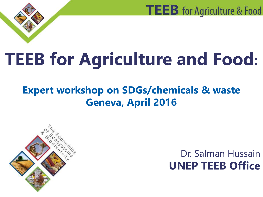# **TEEB for Agriculture and Food:**

### **Expert workshop on SDGs/chemicals & waste Geneva, April 2016**



### Dr. Salman Hussain **UNEP TEEB Office**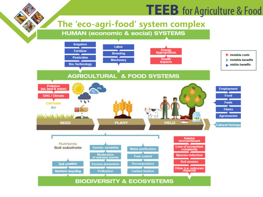#### **The 'eco-agri-food' system complex**

**HUMAN (economic & social) SYSTEMS** 

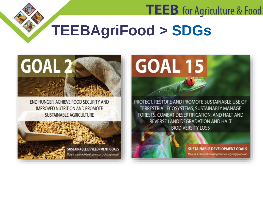## **TEEBAgriFood > SDGs**



END HUNGER, ACHIEVE FOOD SECURITY AND **IMPROVED NUTRITION AND PROMOTE SUSTAINABLE AGRICULTURE** 





PROTECT, RESTORE AND PROMOTE SUSTAINABLE USE OF TERRESTRIAL ECOSYSTEMS, SUSTAINABLY MANAGE FORESTS, COMBAT DESERTIFICATION, AND HALT AND REVERSE LAND DEGRADATION AND HALT **BIODIVERSITY LOSS** 



**SUSTAINABLE DEVELOPMENT GOALS** More at sustainabledevelopment.un.org/sdgsproposal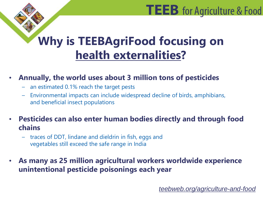### **Why is TEEBAgriFood focusing on health externalities?**

#### • **Annually, the world uses about 3 million tons of pesticides**

- an estimated 0.1% reach the target pests
- Environmental impacts can include widespread decline of birds, amphibians, and beneficial insect populations
- **Pesticides can also enter human bodies directly and through food chains**
	- traces of DDT, lindane and dieldrin in fish, eggs and vegetables still exceed the safe range in India
- **As many as 25 million agricultural workers worldwide experience unintentional pesticide poisonings each year**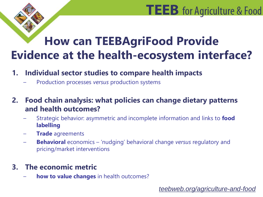### **How can TEEBAgriFood Provide Evidence at the health-ecosystem interface?**

#### **1. Individual sector studies to compare health impacts**

– Production processes *versus* production systems

**2. Food chain analysis: what policies can change dietary patterns and health outcomes?** 

- Strategic behavior: asymmetric and incomplete information and links to **food labelling**
- **Trade** agreements
- **Behavioral** economics 'nudging' behavioral change *versus* regulatory and pricing/market interventions

#### **3. The economic metric**

– **how to value changes** in health outcomes?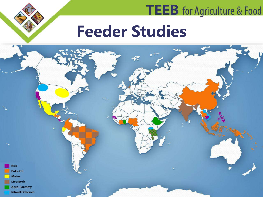## **Feeder Studies**

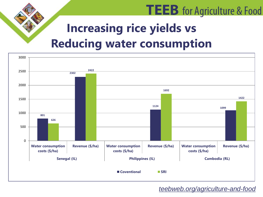### **Increasing rice yields vs Reducing water consumption**



#### *teebweb.org/agriculture-and-food*